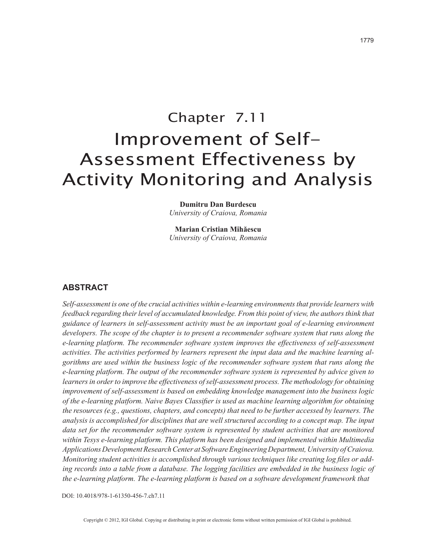# Chapter 7.11 Improvement of Self-Assessment Effectiveness by Activity Monitoring and Analysis

**Dumitru Dan Burdescu** *University of Craiova, Romania*

**Marian Cristian Mihăescu** *University of Craiova, Romania*

#### **ABSTRACT**

*Self-assessment is one of the crucial activities within e-learning environments that provide learners with feedback regarding their level of accumulated knowledge. From this point of view, the authors think that guidance of learners in self-assessment activity must be an important goal of e-learning environment*  developers. The scope of the chapter is to present a recommender software system that runs along the *e-learning platform. The recommender software system improves the effectiveness of self-assessment activities. The activities performed by learners represent the input data and the machine learning algorithms are used within the business logic of the recommender software system that runs along the e-learning platform. The output of the recommender software system is represented by advice given to learners in order to improve the effectiveness of self-assessment process. The methodology for obtaining improvement of self-assessment is based on embedding knowledge management into the business logic of the e-learning platform. Naive Bayes Classifier is used as machine learning algorithm for obtaining the resources (e.g., questions, chapters, and concepts) that need to be further accessed by learners. The analysis is accomplished for disciplines that are well structured according to a concept map. The input*  data set for the recommender software system is represented by student activities that are monitored *within Tesys e-learning platform. This platform has been designed and implemented within Multimedia Applications Development Research Center at Software Engineering Department, University of Craiova. Monitoring student activities is accomplished through various techniques like creating log files or adding records into a table from a database. The logging facilities are embedded in the business logic of the e-learning platform. The e-learning platform is based on a software development framework that* 

DOI: 10.4018/978-1-61350-456-7.ch7.11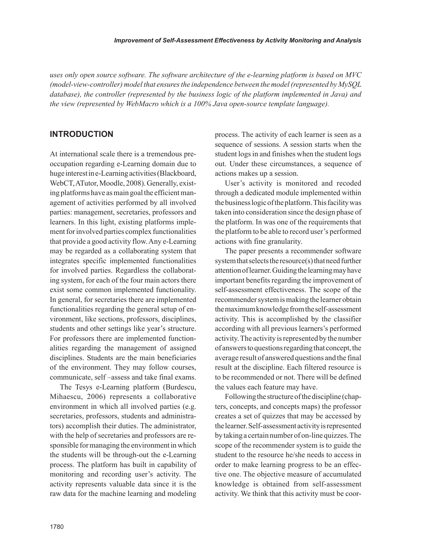*uses only open source software. The software architecture of the e-learning platform is based on MVC (model-view-controller) model that ensures the independence between the model (represented by MySQL database), the controller (represented by the business logic of the platform implemented in Java) and the view (represented by WebMacro which is a 100% Java open-source template language).*

## **INTRODUCTION**

At international scale there is a tremendous preoccupation regarding e-Learning domain due to huge interest in e-Learning activities (Blackboard, WebCT, ATutor, Moodle, 2008). Generally, existing platforms have as main goal the efficient management of activities performed by all involved parties: management, secretaries, professors and learners. In this light, existing platforms implement for involved parties complex functionalities that provide a good activity flow. Any e-Learning may be regarded as a collaborating system that integrates specific implemented functionalities for involved parties. Regardless the collaborating system, for each of the four main actors there exist some common implemented functionality. In general, for secretaries there are implemented functionalities regarding the general setup of environment, like sections, professors, disciplines, students and other settings like year's structure. For professors there are implemented functionalities regarding the management of assigned disciplines. Students are the main beneficiaries of the environment. They may follow courses, communicate, self –assess and take final exams.

The Tesys e-Learning platform (Burdescu, Mihaescu, 2006) represents a collaborative environment in which all involved parties (e.g. secretaries, professors, students and administrators) accomplish their duties. The administrator, with the help of secretaries and professors are responsible for managing the environment in which the students will be through-out the e-Learning process. The platform has built in capability of monitoring and recording user's activity. The activity represents valuable data since it is the raw data for the machine learning and modeling process. The activity of each learner is seen as a sequence of sessions. A session starts when the student logs in and finishes when the student logs out. Under these circumstances, a sequence of actions makes up a session.

User's activity is monitored and recoded through a dedicated module implemented within the business logic of the platform. This facility was taken into consideration since the design phase of the platform. In was one of the requirements that the platform to be able to record user's performed actions with fine granularity.

The paper presents a recommender software system that selects the resource(s) that need further attention of learner. Guiding the learning may have important benefits regarding the improvement of self-assessment effectiveness. The scope of the recommender system is making the learner obtain the maximum knowledge from the self-assessment activity. This is accomplished by the classifier according with all previous learners's performed activity. The activity is represented by the number of answers to questions regarding that concept, the average result of answered questions and the final result at the discipline. Each filtered resource is to be recommended or not. There will be defined the values each feature may have.

Following the structure of the discipline (chapters, concepts, and concepts maps) the professor creates a set of quizzes that may be accessed by the learner. Self-assessment activity is represented by taking a certain number of on-line quizzes. The scope of the recommender system is to guide the student to the resource he/she needs to access in order to make learning progress to be an effective one. The objective measure of accumulated knowledge is obtained from self-assessment activity. We think that this activity must be coor